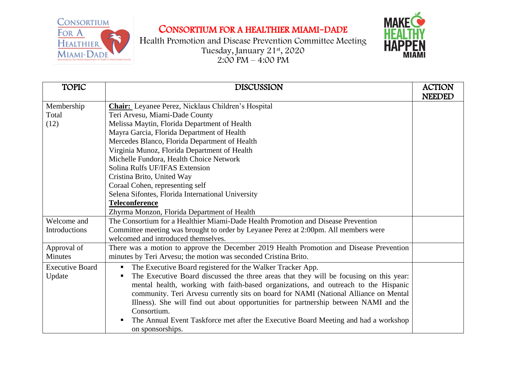CONSORTIUM FOR A **HEALTHIER** MIAMI-DADE

## CONSORTIUM FOR A HEALTHIER MIAMI-DADE





| <b>TOPIC</b>           | <b>DISCUSSION</b>                                                                       | <b>ACTION</b> |
|------------------------|-----------------------------------------------------------------------------------------|---------------|
|                        |                                                                                         | <b>NEEDED</b> |
| Membership             | <b>Chair:</b> Leyanee Perez, Nicklaus Children's Hospital                               |               |
| Total                  | Teri Arvesu, Miami-Dade County                                                          |               |
| (12)                   | Melissa Maytin, Florida Department of Health                                            |               |
|                        | Mayra Garcia, Florida Department of Health                                              |               |
|                        | Mercedes Blanco, Florida Department of Health                                           |               |
|                        | Virginia Munoz, Florida Department of Health                                            |               |
|                        | Michelle Fundora, Health Choice Network                                                 |               |
|                        | Solina Rulfs UF/IFAS Extension                                                          |               |
|                        | Cristina Brito, United Way                                                              |               |
|                        | Coraal Cohen, representing self                                                         |               |
|                        | Selena Sifontes, Florida International University                                       |               |
|                        | <b>Teleconference</b>                                                                   |               |
|                        | Zhyrma Monzon, Florida Department of Health                                             |               |
| Welcome and            | The Consortium for a Healthier Miami-Dade Health Promotion and Disease Prevention       |               |
| <b>Introductions</b>   | Committee meeting was brought to order by Leyanee Perez at 2:00pm. All members were     |               |
|                        | welcomed and introduced themselves.                                                     |               |
| Approval of            | There was a motion to approve the December 2019 Health Promotion and Disease Prevention |               |
| <b>Minutes</b>         | minutes by Teri Arvesu; the motion was seconded Cristina Brito.                         |               |
| <b>Executive Board</b> | The Executive Board registered for the Walker Tracker App.<br>п                         |               |
| Update                 | The Executive Board discussed the three areas that they will be focusing on this year:  |               |
|                        | mental health, working with faith-based organizations, and outreach to the Hispanic     |               |
|                        | community. Teri Arvesu currently sits on board for NAMI (National Alliance on Mental    |               |
|                        | Illness). She will find out about opportunities for partnership between NAMI and the    |               |
|                        | Consortium.                                                                             |               |
|                        | The Annual Event Taskforce met after the Executive Board Meeting and had a workshop     |               |
|                        | on sponsorships.                                                                        |               |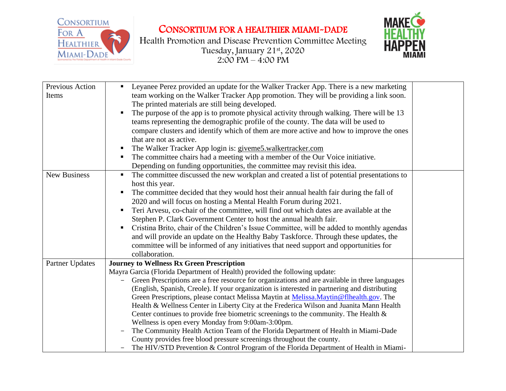

## CONSORTIUM FOR A HEALTHIER MIAMI-DADE

Health Promotion and Disease Prevention Committee Meeting Tuesday, January 21st , 2020  $2:00 \text{ PM} - 4:00 \text{ PM}$ 



| Previous Action<br>Items | Leyanee Perez provided an update for the Walker Tracker App. There is a new marketing<br>team working on the Walker Tracker App promotion. They will be providing a link soon.<br>The printed materials are still being developed.<br>The purpose of the app is to promote physical activity through walking. There will be 13<br>teams representing the demographic profile of the county. The data will be used to<br>compare clusters and identify which of them are more active and how to improve the ones<br>that are not as active.<br>The Walker Tracker App login is: giveme5.walkertracker.com<br>The committee chairs had a meeting with a member of the Our Voice initiative.<br>Depending on funding opportunities, the committee may revisit this idea.                                                                                                                                                            |  |
|--------------------------|----------------------------------------------------------------------------------------------------------------------------------------------------------------------------------------------------------------------------------------------------------------------------------------------------------------------------------------------------------------------------------------------------------------------------------------------------------------------------------------------------------------------------------------------------------------------------------------------------------------------------------------------------------------------------------------------------------------------------------------------------------------------------------------------------------------------------------------------------------------------------------------------------------------------------------|--|
| <b>New Business</b>      | The committee discussed the new workplan and created a list of potential presentations to<br>٠<br>host this year.<br>The committee decided that they would host their annual health fair during the fall of<br>2020 and will focus on hosting a Mental Health Forum during 2021.<br>Teri Arvesu, co-chair of the committee, will find out which dates are available at the<br>Stephen P. Clark Government Center to host the annual health fair.<br>Cristina Brito, chair of the Children's Issue Committee, will be added to monthly agendas<br>and will provide an update on the Healthy Baby Taskforce. Through these updates, the<br>committee will be informed of any initiatives that need support and opportunities for<br>collaboration.                                                                                                                                                                                 |  |
| Partner Updates          | <b>Journey to Wellness Rx Green Prescription</b><br>Mayra Garcia (Florida Department of Health) provided the following update:<br>Green Prescriptions are a free resource for organizations and are available in three languages<br>(English, Spanish, Creole). If your organization is interested in partnering and distributing<br>Green Prescriptions, please contact Melissa Maytin at Melissa.Maytin@flhealth.gov. The<br>Health & Wellness Center in Liberty City at the Frederica Wilson and Juanita Mann Health<br>Center continues to provide free biometric screenings to the community. The Health $\&$<br>Wellness is open every Monday from 9:00am-3:00pm.<br>The Community Health Action Team of the Florida Department of Health in Miami-Dade<br>County provides free blood pressure screenings throughout the county.<br>The HIV/STD Prevention & Control Program of the Florida Department of Health in Miami- |  |